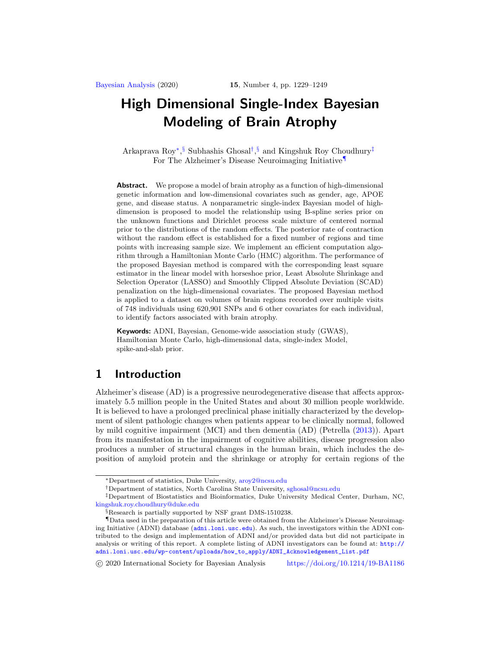<span id="page-0-5"></span>Arkaprava Roy[∗](#page-0-0), [§](#page-0-1) Subhashis Ghosal[†](#page-0-2), [§](#page-0-1) and Kingshuk Roy Choudhury[‡](#page-0-3) For The Alzheimer's Disease Neuroimaging Initiative[¶](#page-0-4)

**Abstract.** We propose a model of brain atrophy as a function of high-dimensional genetic information and low-dimensional covariates such as gender, age, APOE gene, and disease status. A nonparametric single-index Bayesian model of highdimension is proposed to model the relationship using B-spline series prior on the unknown functions and Dirichlet process scale mixture of centered normal prior to the distributions of the random effects. The posterior rate of contraction without the random effect is established for a fixed number of regions and time points with increasing sample size. We implement an efficient computation algorithm through a Hamiltonian Monte Carlo (HMC) algorithm. The performance of the proposed Bayesian method is compared with the corresponding least square estimator in the linear model with horseshoe prior, Least Absolute Shrinkage and Selection Operator (LASSO) and Smoothly Clipped Absolute Deviation (SCAD) penalization on the high-dimensional covariates. The proposed Bayesian method is applied to a dataset on volumes of brain regions recorded over multiple visits of 748 individuals using 620,901 SNPs and 6 other covariates for each individual, to identify factors associated with brain atrophy.

**Keywords:** ADNI, Bayesian, Genome-wide association study (GWAS), Hamiltonian Monte Carlo, high-dimensional data, single-index Model, spike-and-slab prior.

# **1 Introduction**

Alzheimer's disease (AD) is a progressive neurodegenerative disease that affects approximately 5.5 million people in the United States and about 30 million people worldwide. It is believed to have a prolonged preclinical phase initially characterized by the development of silent pathologic changes when patients appear to be clinically normal, followed by mild cognitive impairment (MCI) and then dementia (AD) (Petrella [\(2013\)](#page-19-0)). Apart from its manifestation in the impairment of cognitive abilities, disease progression also produces a number of structural changes in the human brain, which includes the deposition of amyloid protein and the shrinkage or atrophy for certain regions of the

-c 2020 International Society for Bayesian Analysis <https://doi.org/10.1214/19-BA1186>

<span id="page-0-0"></span><sup>∗</sup>Department of statistics, Duke University, [aroy2@ncsu.edu](mailto:aroy2@ncsu.edu)

<span id="page-0-3"></span><span id="page-0-2"></span><sup>†</sup>Department of statistics, North Carolina State University, [sghosal@ncsu.edu](mailto:sghosal@ncsu.edu)

<sup>‡</sup>Department of Biostatistics and Bioinformatics, Duke University Medical Center, Durham, NC, [kingshuk.roy.choudhury@duke.edu](mailto:kingshuk.roy.choudhury@duke.edu)

<span id="page-0-4"></span><span id="page-0-1"></span><sup>§</sup>Research is partially supported by NSF grant DMS-1510238.

<sup>¶</sup>Data used in the preparation of this article were obtained from the Alzheimer's Disease Neuroimaging Initiative (ADNI) database (<adni.loni.usc.edu>). As such, the investigators within the ADNI contributed to the design and implementation of ADNI and/or provided data but did not participate in analysis or writing of this report. A complete listing of ADNI investigators can be found at: [http://](http://adni.loni.usc.edu/wp-content/uploads/how_to_apply/ADNI_Acknowledgement_List.pdf) [adni.loni.usc.edu/wp-content/uploads/how\\_to\\_apply/ADNI\\_Acknowledgement\\_List.pdf](http://adni.loni.usc.edu/wp-content/uploads/how_to_apply/ADNI_Acknowledgement_List.pdf)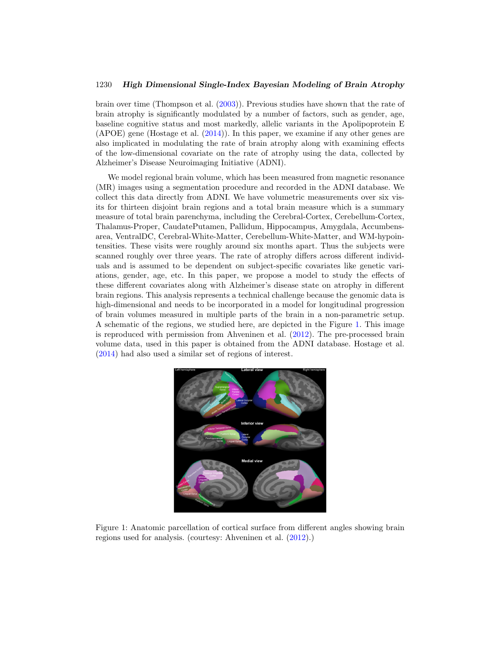<span id="page-1-1"></span>brain over time (Thompson et al. [\(2003\)](#page-19-1)). Previous studies have shown that the rate of brain atrophy is significantly modulated by a number of factors, such as gender, age, baseline cognitive status and most markedly, allelic variants in the Apolipoprotein E (APOE) gene (Hostage et al. [\(2014](#page-17-0))). In this paper, we examine if any other genes are also implicated in modulating the rate of brain atrophy along with examining effects of the low-dimensional covariate on the rate of atrophy using the data, collected by Alzheimer's Disease Neuroimaging Initiative (ADNI).

We model regional brain volume, which has been measured from magnetic resonance (MR) images using a segmentation procedure and recorded in the ADNI database. We collect this data directly from ADNI. We have volumetric measurements over six visits for thirteen disjoint brain regions and a total brain measure which is a summary measure of total brain parenchyma, including the Cerebral-Cortex, Cerebellum-Cortex, Thalamus-Proper, CaudatePutamen, Pallidum, Hippocampus, Amygdala, Accumbensarea, VentralDC, Cerebral-White-Matter, Cerebellum-White-Matter, and WM-hypointensities. These visits were roughly around six months apart. Thus the subjects were scanned roughly over three years. The rate of atrophy differs across different individuals and is assumed to be dependent on subject-specific covariates like genetic variations, gender, age, etc. In this paper, we propose a model to study the effects of these different covariates along with Alzheimer's disease state on atrophy in different brain regions. This analysis represents a technical challenge because the genomic data is high-dimensional and needs to be incorporated in a model for longitudinal progression of brain volumes measured in multiple parts of the brain in a non-parametric setup. A schematic of the regions, we studied here, are depicted in the Figure [1.](#page-1-0) This image is reproduced with permission from Ahveninen et al. [\(2012\)](#page-16-0). The pre-processed brain volume data, used in this paper is obtained from the ADNI database. Hostage et al. [\(2014\)](#page-17-0) had also used a similar set of regions of interest.



<span id="page-1-0"></span>Figure 1: Anatomic parcellation of cortical surface from different angles showing brain regions used for analysis. (courtesy: Ahveninen et al. [\(2012\)](#page-16-0).)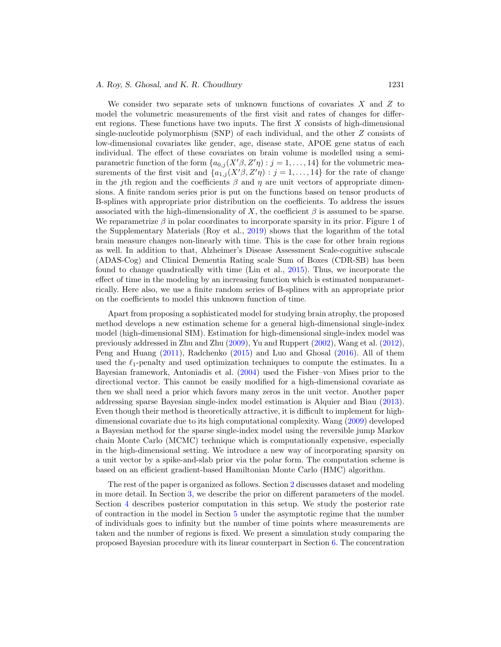<span id="page-2-0"></span>We consider two separate sets of unknown functions of covariates  $X$  and  $Z$  to model the volumetric measurements of the first visit and rates of changes for different regions. These functions have two inputs. The first  $X$  consists of high-dimensional single-nucleotide polymorphism (SNP) of each individual, and the other Z consists of low-dimensional covariates like gender, age, disease state, APOE gene status of each individual. The effect of these covariates on brain volume is modelled using a semiparametric function of the form  $\{a_{0,j}(X'\beta, Z'\eta) : j = 1, \ldots, 14\}$  for the volumetric measurements of the first visit and  $\{a_{1,j}(X'\beta, Z'\eta) : j = 1, \ldots, 14\}$  for the rate of change in the jth region and the coefficients  $\beta$  and  $\eta$  are unit vectors of appropriate dimensions. A finite random series prior is put on the functions based on tensor products of B-splines with appropriate prior distribution on the coefficients. To address the issues associated with the high-dimensionality of X, the coefficient  $\beta$  is assumed to be sparse. We reparametrize  $\beta$  in polar coordinates to incorporate sparsity in its prior. Figure 1 of the Supplementary Materials (Roy et al., [2019](#page-19-2)) shows that the logarithm of the total brain measure changes non-linearly with time. This is the case for other brain regions as well. In addition to that, Alzheimer's Disease Assessment Scale-cognitive subscale (ADAS-Cog) and Clinical Dementia Rating scale Sum of Boxes (CDR-SB) has been found to change quadratically with time (Lin et al., [2015](#page-18-0)). Thus, we incorporate the effect of time in the modeling by an increasing function which is estimated nonparametrically. Here also, we use a finite random series of B-splines with an appropriate prior on the coefficients to model this unknown function of time.

Apart from proposing a sophisticated model for studying brain atrophy, the proposed method develops a new estimation scheme for a general high-dimensional single-index model (high-dimensional SIM). Estimation for high-dimensional single-index model was previously addressed in Zhu and Zhu [\(2009\)](#page-19-3), Yu and Ruppert [\(2002](#page-19-4)), Wang et al. [\(2012\)](#page-19-5), Peng and Huang [\(2011\)](#page-18-1), Radchenko [\(2015](#page-19-6)) and Luo and Ghosal [\(2016](#page-18-2)). All of them used the  $\ell_1$ -penalty and used optimization techniques to compute the estimates. In a Bayesian framework, Antoniadis et al. [\(2004\)](#page-16-1) used the Fisher–von Mises prior to the directional vector. This cannot be easily modified for a high-dimensional covariate as then we shall need a prior which favors many zeros in the unit vector. Another paper addressing sparse Bayesian single-index model estimation is Alquier and Biau [\(2013\)](#page-16-2). Even though their method is theoretically attractive, it is difficult to implement for highdimensional covariate due to its high computational complexity. Wang [\(2009](#page-19-7)) developed a Bayesian method for the sparse single-index model using the reversible jump Markov chain Monte Carlo (MCMC) technique which is computationally expensive, especially in the high-dimensional setting. We introduce a new way of incorporating sparsity on a unit vector by a spike-and-slab prior via the polar form. The computation scheme is based on an efficient gradient-based Hamiltonian Monte Carlo (HMC) algorithm.

The rest of the paper is organized as follows. Section [2](#page-3-0) discusses dataset and modeling in more detail. In Section [3,](#page-5-0) we describe the prior on different parameters of the model. Section [4](#page-7-0) describes posterior computation in this setup. We study the posterior rate of contraction in the model in Section [5](#page-8-0) under the asymptotic regime that the number of individuals goes to infinity but the number of time points where measurements are taken and the number of regions is fixed. We present a simulation study comparing the proposed Bayesian procedure with its linear counterpart in Section [6.](#page-9-0) The concentration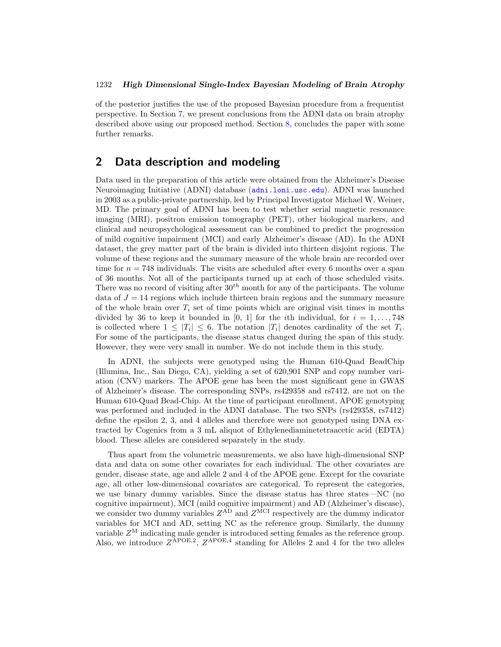of the posterior justifies the use of the proposed Bayesian procedure from a frequentist perspective. In Section [7,](#page-11-0) we present conclusions from the ADNI data on brain atrophy described above using our proposed method. Section [8,](#page-14-0) concludes the paper with some further remarks.

# <span id="page-3-0"></span>**2 Data description and modeling**

Data used in the preparation of this article were obtained from the Alzheimer's Disease Neuroimaging Initiative (ADNI) database (<adni.loni.usc.edu>). ADNI was launched in 2003 as a public-private partnership, led by Principal Investigator Michael W. Weiner, MD. The primary goal of ADNI has been to test whether serial magnetic resonance imaging (MRI), positron emission tomography (PET), other biological markers, and clinical and neuropsychological assessment can be combined to predict the progression of mild cognitive impairment (MCI) and early Alzheimer's disease (AD). In the ADNI dataset, the grey matter part of the brain is divided into thirteen disjoint regions. The volume of these regions and the summary measure of the whole brain are recorded over time for  $n = 748$  individuals. The visits are scheduled after every 6 months over a span of 36 months. Not all of the participants turned up at each of those scheduled visits. There was no record of visiting after  $30<sup>th</sup>$  month for any of the participants. The volume data of  $J = 14$  regions which include thirteen brain regions and the summary measure of the whole brain over  $T_i$  set of time points which are original visit times in months divided by 36 to keep it bounded in [0, 1] for the *i*th individual, for  $i = 1, \ldots, 748$ is collected where  $1 \leq |T_i| \leq 6$ . The notation  $|T_i|$  denotes cardinality of the set  $T_i$ . For some of the participants, the disease status changed during the span of this study. However, they were very small in number. We do not include them in this study.

In ADNI, the subjects were genotyped using the Human 610-Quad BeadChip (Illumina, Inc., San Diego, CA), yielding a set of 620,901 SNP and copy number variation (CNV) markers. The APOE gene has been the most significant gene in GWAS of Alzheimer's disease. The corresponding SNPs, rs429358 and rs7412, are not on the Human 610-Quad Bead-Chip. At the time of participant enrollment, APOE genotyping was performed and included in the ADNI database. The two SNPs (rs429358, rs7412) define the epsilon 2, 3, and 4 alleles and therefore were not genotyped using DNA extracted by Cogenics from a 3 mL aliquot of Ethylenediaminetetraacetic acid (EDTA) blood. These alleles are considered separately in the study.

Thus apart from the volumetric measurements, we also have high-dimensional SNP data and data on some other covariates for each individual. The other covariates are gender, disease state, age and allele 2 and 4 of the APOE gene. Except for the covariate age, all other low-dimensional covariates are categorical. To represent the categories, we use binary dummy variables. Since the disease status has three states—NC (no cognitive impairment), MCI (mild cognitive impairment) and AD (Alzheimer's disease), we consider two dummy variables  $Z^{\text{AD}}$  and  $Z^{\text{MCI}}$  respectively are the dummy indicator variables for MCI and AD, setting NC as the reference group. Similarly, the dummy variable  $Z^M$  indicating male gender is introduced setting females as the reference group. Also, we introduce  $Z^{APOE,2}$ ,  $Z^{APOE,4}$  standing for Alleles 2 and 4 for the two alleles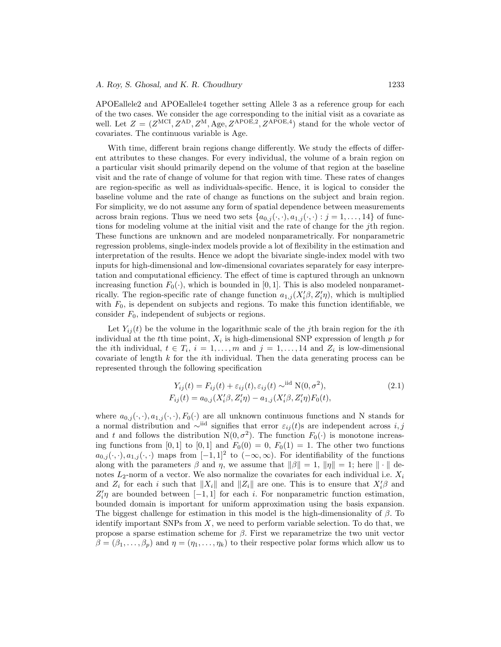APOEallele2 and APOEallele4 together setting Allele 3 as a reference group for each of the two cases. We consider the age corresponding to the initial visit as a covariate as well. Let  $Z = (Z^{MCI}, Z^{AD}, Z^M, \text{Age}, Z^{APOE,2}, Z^{APOE,4})$  stand for the whole vector of covariates. The continuous variable is Age.

With time, different brain regions change differently. We study the effects of different attributes to these changes. For every individual, the volume of a brain region on a particular visit should primarily depend on the volume of that region at the baseline visit and the rate of change of volume for that region with time. These rates of changes are region-specific as well as individuals-specific. Hence, it is logical to consider the baseline volume and the rate of change as functions on the subject and brain region. For simplicity, we do not assume any form of spatial dependence between measurements across brain regions. Thus we need two sets  $\{a_{0,i}(\cdot,\cdot), a_{1,i}(\cdot,\cdot): j = 1,\ldots, 14\}$  of functions for modeling volume at the initial visit and the rate of change for the jth region. These functions are unknown and are modeled nonparametrically. For nonparametric regression problems, single-index models provide a lot of flexibility in the estimation and interpretation of the results. Hence we adopt the bivariate single-index model with two inputs for high-dimensional and low-dimensional covariates separately for easy interpretation and computational efficiency. The effect of time is captured through an unknown increasing function  $F_0(\cdot)$ , which is bounded in [0, 1]. This is also modeled nonparametrically. The region-specific rate of change function  $a_{1,j}(X_i'\beta, Z_i'\eta)$ , which is multiplied with  $F_0$ , is dependent on subjects and regions. To make this function identifiable, we consider  $F_0$ , independent of subjects or regions.

Let  $Y_{ij}(t)$  be the volume in the logarithmic scale of the jth brain region for the *i*th individual at the tth time point,  $X_i$  is high-dimensional SNP expression of length p for the *i*th individual,  $t \in T_i$ ,  $i = 1, \ldots, m$  and  $j = 1, \ldots, 14$  and  $Z_i$  is low-dimensional covariate of length  $k$  for the *i*th individual. Then the data generating process can be represented through the following specification

<span id="page-4-0"></span>
$$
Y_{ij}(t) = F_{ij}(t) + \varepsilon_{ij}(t), \varepsilon_{ij}(t) \sim^{\text{iid}} \mathcal{N}(0, \sigma^2),
$$
  
\n
$$
F_{ij}(t) = a_{0,j}(X_i'\beta, Z_i'\eta) - a_{1,j}(X_i'\beta, Z_i'\eta)F_0(t),
$$
\n(2.1)

where  $a_{0,j}(\cdot,\cdot), a_{1,j}(\cdot,\cdot), F_0(\cdot)$  are all unknown continuous functions and N stands for a normal distribution and ∼<sup>iid</sup> signifies that error  $\varepsilon_{ij}(t)$ s are independent across *i*, j and t and follows the distribution  $N(0, \sigma^2)$ . The function  $F_0(\cdot)$  is monotone increasing functions from [0,1] to [0,1] and  $F_0(0) = 0$ ,  $F_0(1) = 1$ . The other two functions  $a_{0,j}(\cdot,\cdot), a_{1,j}(\cdot,\cdot)$  maps from  $[-1,1]^2$  to  $(-\infty,\infty)$ . For identifiability of the functions along with the parameters  $\beta$  and  $\eta$ , we assume that  $\|\beta\| = 1$ ,  $\|\eta\| = 1$ ; here  $\|\cdot\|$  denotes  $L_2$ -norm of a vector. We also normalize the covariates for each individual i.e.  $X_i$ and  $Z_i$  for each i such that  $||X_i||$  and  $||Z_i||$  are one. This is to ensure that  $X_i'\beta$  and  $Z_i'\eta$  are bounded between [-1, 1] for each *i*. For nonparametric function estimation, bounded domain is important for uniform approximation using the basis expansion. The biggest challenge for estimation in this model is the high-dimensionality of  $\beta$ . To identify important SNPs from  $X$ , we need to perform variable selection. To do that, we propose a sparse estimation scheme for β. First we reparametrize the two unit vector  $\beta = (\beta_1, \ldots, \beta_p)$  and  $\eta = (\eta_1, \ldots, \eta_k)$  to their respective polar forms which allow us to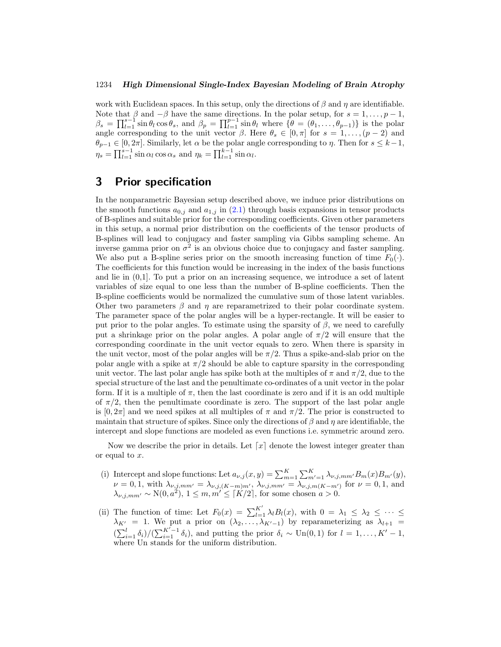work with Euclidean spaces. In this setup, only the directions of  $\beta$  and  $\eta$  are identifiable. Note that  $\beta$  and  $-\beta$  have the same directions. In the polar setup, for  $s = 1, \ldots, p - 1$ ,  $\beta_s = \prod_{l=1}^{s-1} \sin \theta_l \cos \theta_s$ , and  $\beta_p = \prod_{l=1}^{p-1} \sin \theta_l$  where  $\{\theta = (\theta_1, \dots, \theta_{p-1})\}$  is the polar angle corresponding to the unit vector  $\beta$ . Here  $\theta_s \in [0, \pi]$  for  $s = 1, \ldots, (p-2)$  and  $\theta_{p-1} \in [0, 2\pi]$ . Similarly, let  $\alpha$  be the polar angle corresponding to  $\eta$ . Then for  $s \leq k-1$ ,  $\eta_s = \prod_{l=1}^{s-1} \sin \alpha_l \cos \alpha_s$  and  $\eta_k = \prod_{l=1}^{k-1} \sin \alpha_l$ .

# <span id="page-5-0"></span>**3 Prior specification**

In the nonparametric Bayesian setup described above, we induce prior distributions on the smooth functions  $a_{0,j}$  and  $a_{1,j}$  in [\(2.1\)](#page-4-0) through basis expansions in tensor products of B-splines and suitable prior for the corresponding coefficients. Given other parameters in this setup, a normal prior distribution on the coefficients of the tensor products of B-splines will lead to conjugacy and faster sampling via Gibbs sampling scheme. An inverse gamma prior on  $\sigma^2$  is an obvious choice due to conjugacy and faster sampling. We also put a B-spline series prior on the smooth increasing function of time  $F_0(\cdot)$ . The coefficients for this function would be increasing in the index of the basis functions and lie in (0,1]. To put a prior on an increasing sequence, we introduce a set of latent variables of size equal to one less than the number of B-spline coefficients. Then the B-spline coefficients would be normalized the cumulative sum of those latent variables. Other two parameters  $\beta$  and  $\eta$  are reparametrized to their polar coordinate system. The parameter space of the polar angles will be a hyper-rectangle. It will be easier to put prior to the polar angles. To estimate using the sparsity of  $\beta$ , we need to carefully put a shrinkage prior on the polar angles. A polar angle of  $\pi/2$  will ensure that the corresponding coordinate in the unit vector equals to zero. When there is sparsity in the unit vector, most of the polar angles will be  $\pi/2$ . Thus a spike-and-slab prior on the polar angle with a spike at  $\pi/2$  should be able to capture sparsity in the corresponding unit vector. The last polar angle has spike both at the multiples of  $\pi$  and  $\pi/2$ , due to the special structure of the last and the penultimate co-ordinates of a unit vector in the polar form. If it is a multiple of  $\pi$ , then the last coordinate is zero and if it is an odd multiple of  $\pi/2$ , then the penultimate coordinate is zero. The support of the last polar angle is  $[0, 2\pi]$  and we need spikes at all multiples of  $\pi$  and  $\pi/2$ . The prior is constructed to maintain that structure of spikes. Since only the directions of  $\beta$  and  $\eta$  are identifiable, the intercept and slope functions are modeled as even functions i.e. symmetric around zero.

Now we describe the prior in details. Let  $\lceil x \rceil$  denote the lowest integer greater than or equal to x.

- (i) Intercept and slope functions: Let  $a_{\nu,j}(x,y) = \sum_{m=1}^{K} \sum_{m'=1}^{K} \lambda_{\nu,j,mm'} B_m(x) B_{m'}(y)$ ,  $\nu = 0, 1$ , with  $\lambda_{\nu,j,mm'} = \lambda_{\nu,j,(K-m)m'}, \lambda_{\nu,j,mm'} = \lambda_{\nu,j,m(K-m')}$  for  $\nu = 0, 1$ , and  $\lambda_{\nu,j,mm'} \sim N(0,a^2), 1 \leq m, m' \leq \lceil K/2 \rceil$ , for some chosen  $a > 0$ .
- (ii) The function of time: Let  $F_0(x) = \sum_{l=1}^{K'} \lambda_l B_l(x)$ , with  $0 = \lambda_1 \leq \lambda_2 \leq \cdots \leq$  $\lambda_{K'} = 1$ . We put a prior on  $(\lambda_2, \ldots, \lambda_{K'-1})$  by reparameterizing as  $\lambda_{l+1} =$  $(\sum_{i=1}^{l} \delta_i)/(\sum_{i=1}^{K'-1} \delta_i)$ , and putting the prior  $\delta_i \sim \text{Un}(0,1)$  for  $l = 1,\ldots,K'-1$ , where Un stands for the uniform distribution.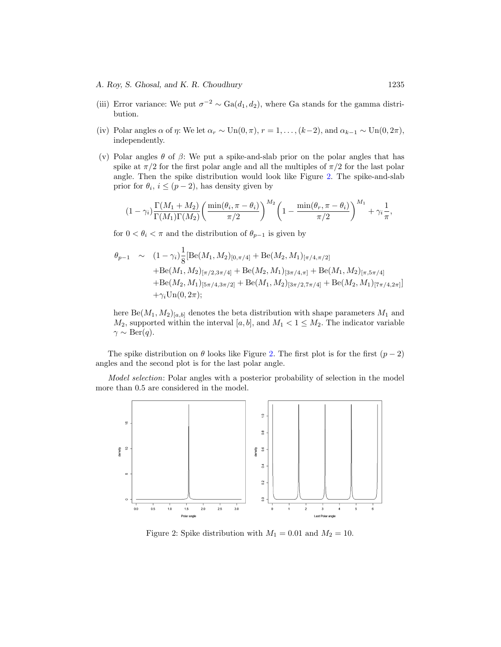- (iii) Error variance: We put  $\sigma^{-2} \sim \text{Ga}(d_1, d_2)$ , where Ga stands for the gamma distribution.
- (iv) Polar angles  $\alpha$  of  $\eta$ : We let  $\alpha_r \sim \text{Un}(0, \pi)$ ,  $r = 1, \ldots, (k-2)$ , and  $\alpha_{k-1} \sim \text{Un}(0, 2\pi)$ , independently.
- (v) Polar angles  $\theta$  of  $\beta$ : We put a spike-and-slab prior on the polar angles that has spike at  $\pi/2$  for the first polar angle and all the multiples of  $\pi/2$  for the last polar angle. Then the spike distribution would look like Figure [2.](#page-6-0) The spike-and-slab prior for  $\theta_i$ ,  $i \leq (p-2)$ , has density given by

$$
(1-\gamma_i)\frac{\Gamma(M_1+M_2)}{\Gamma(M_1)\Gamma(M_2)}\left(\frac{\min(\theta_i,\pi-\theta_i)}{\pi/2}\right)^{M_2}\left(1-\frac{\min(\theta_r,\pi-\theta_i)}{\pi/2}\right)^{M_1}+\gamma_i\frac{1}{\pi},
$$

for  $0 < \theta_i < \pi$  and the distribution of  $\theta_{p-1}$  is given by

$$
\theta_{p-1} \sim (1 - \gamma_i) \frac{1}{8} \left[ \text{Be}(M_1, M_2)_{[0, \pi/4]} + \text{Be}(M_2, M_1)_{[\pi/4, \pi/2]} + \text{Be}(M_1, M_2)_{[\pi/2, 3\pi/4]} + \text{Be}(M_2, M_1)_{[3\pi/4, \pi]} + \text{Be}(M_1, M_2)_{[\pi, 5\pi/4]} + \text{Be}(M_2, M_1)_{[5\pi/4, 3\pi/2]} + \text{Be}(M_1, M_2)_{[3\pi/2, 7\pi/4]} + \text{Be}(M_2, M_1)_{[7\pi/4, 2\pi]} \right] + \gamma_i \text{Un}(0, 2\pi);
$$

here  $Be(M_1, M_2)_{[a,b]}$  denotes the beta distribution with shape parameters  $M_1$  and  $M_2$ , supported within the interval [a, b], and  $M_1 < 1 \leq M_2$ . The indicator variable  $\gamma \sim \text{Ber}(q).$ 

The spike distribution on  $\theta$  looks like Figure [2.](#page-6-0) The first plot is for the first  $(p-2)$ angles and the second plot is for the last polar angle.

Model selection: Polar angles with a posterior probability of selection in the model more than 0.5 are considered in the model.



<span id="page-6-0"></span>Figure 2: Spike distribution with  $M_1 = 0.01$  and  $M_2 = 10$ .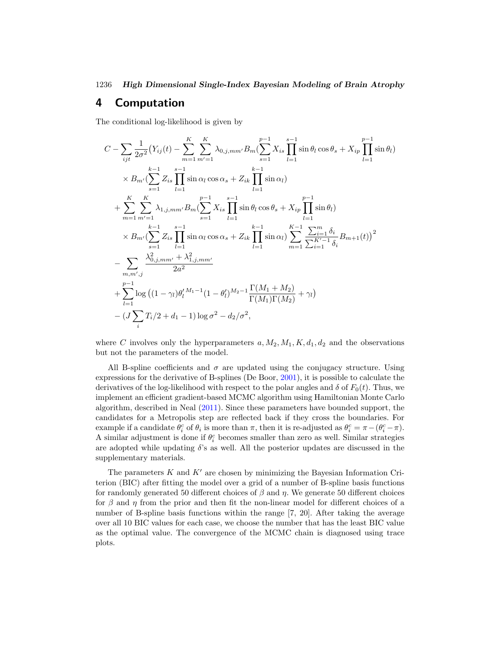### <span id="page-7-1"></span><span id="page-7-0"></span>**4 Computation**

The conditional log-likelihood is given by

$$
C - \sum_{ijt} \frac{1}{2\sigma^2} (Y_{ij}(t) - \sum_{m=1}^{K} \sum_{m'=1}^{K} \lambda_{0,j,mm'} B_m (\sum_{s=1}^{p-1} X_{is} \prod_{l=1}^{s-1} \sin \theta_l \cos \theta_s + X_{ip} \prod_{l=1}^{p-1} \sin \theta_l)
$$
  
\n
$$
\times B_{m'} (\sum_{s=1}^{k-1} Z_{is} \prod_{l=1}^{s-1} \sin \alpha_l \cos \alpha_s + Z_{ik} \prod_{l=1}^{k-1} \sin \alpha_l)
$$
  
\n
$$
+ \sum_{m=1}^{K} \sum_{m'=1}^{K} \lambda_{1,j,mm'} B_m (\sum_{s=1}^{p-1} X_{is} \prod_{l=1}^{s-1} \sin \theta_l \cos \theta_s + X_{ip} \prod_{l=1}^{p-1} \sin \theta_l)
$$
  
\n
$$
\times B_{m'} (\sum_{s=1}^{k-1} Z_{is} \prod_{l=1}^{s-1} \sin \alpha_l \cos \alpha_s + Z_{ik} \prod_{l=1}^{k-1} \sin \alpha_l) \sum_{m=1}^{K-1} \frac{\sum_{i=1}^{m} \delta_i}{\sum_{i=1}^{K'-1} \delta_i} B_{m+1}(t))^2
$$
  
\n
$$
- \sum_{m,m',j} \frac{\lambda_{0,j,mm'}^2 + \lambda_{1,j,mm'}^2}{2a^2}
$$
  
\n
$$
+ \sum_{l=1}^{p-1} \log ((1 - \gamma_l) \theta_l^{l} M_1 - 1 (1 - \theta_l^{l}) M_2 - 1 \frac{\Gamma(M_1 + M_2)}{\Gamma(M_1) \Gamma(M_2)} + \gamma_l)
$$
  
\n
$$
- (J \sum_{i} T_i/2 + d_1 - 1) \log \sigma^2 - d_2/\sigma^2,
$$

where C involves only the hyperparameters  $a, M_2, M_1, K, d_1, d_2$  and the observations but not the parameters of the model.

All B-spline coefficients and  $\sigma$  are updated using the conjugacy structure. Using expressions for the derivative of B-splines (De Boor, [2001\)](#page-17-1), it is possible to calculate the derivatives of the log-likelihood with respect to the polar angles and  $\delta$  of  $F_0(t)$ . Thus, we implement an efficient gradient-based MCMC algorithm using Hamiltonian Monte Carlo algorithm, described in Neal [\(2011](#page-18-3)). Since these parameters have bounded support, the candidates for a Metropolis step are reflected back if they cross the boundaries. For example if a candidate  $\theta_i^c$  of  $\theta_i$  is more than  $\pi$ , then it is re-adjusted as  $\theta_i^c = \pi - (\theta_i^c - \pi)$ . A similar adjustment is done if  $\theta_i^c$  becomes smaller than zero as well. Similar strategies are adopted while updating  $\delta$ 's as well. All the posterior updates are discussed in the supplementary materials.

The parameters  $K$  and  $K'$  are chosen by minimizing the Bayesian Information Criterion (BIC) after fitting the model over a grid of a number of B-spline basis functions for randomly generated 50 different choices of  $\beta$  and  $\eta$ . We generate 50 different choices for  $\beta$  and  $\eta$  from the prior and then fit the non-linear model for different choices of a number of B-spline basis functions within the range [7, 20]. After taking the average over all 10 BIC values for each case, we choose the number that has the least BIC value as the optimal value. The convergence of the MCMC chain is diagnosed using trace plots.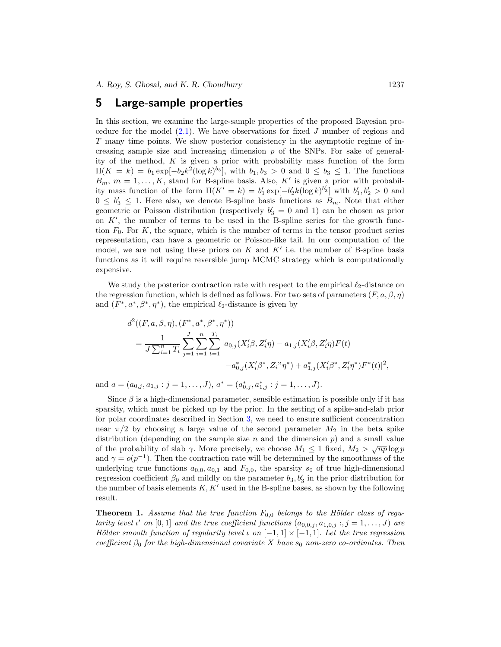### <span id="page-8-0"></span>**5 Large-sample properties**

In this section, we examine the large-sample properties of the proposed Bayesian procedure for the model  $(2.1)$ . We have observations for fixed J number of regions and T many time points. We show posterior consistency in the asymptotic regime of increasing sample size and increasing dimension  $p$  of the SNPs. For sake of generality of the method,  $K$  is given a prior with probability mass function of the form  $\Pi(K = k) = b_1 \exp[-b_2 k^2 (\log k)^{b_3}]$ , with  $b_1, b_3 > 0$  and  $0 \le b_3 \le 1$ . The functions  $B_m$ ,  $m = 1, \ldots, K$ , stand for B-spline basis. Also, K' is given a prior with probability mass function of the form  $\Pi(K' = k) = b'_1 \exp[-b'_2 k (\log k)^{b'_3}]$  with  $b'_1, b'_2 > 0$  and  $0 \leq b'_3 \leq 1$ . Here also, we denote B-spline basis functions as  $B_m$ . Note that either geometric or Poisson distribution (respectively  $b'_3 = 0$  and 1) can be chosen as prior on  $K'$ , the number of terms to be used in the B-spline series for the growth function  $F_0$ . For K, the square, which is the number of terms in the tensor product series representation, can have a geometric or Poisson-like tail. In our computation of the model, we are not using these priors on  $K$  and  $K'$  i.e. the number of B-spline basis functions as it will require reversible jump MCMC strategy which is computationally expensive.

We study the posterior contraction rate with respect to the empirical  $\ell_2$ -distance on the regression function, which is defined as follows. For two sets of parameters  $(F, a, \beta, \eta)$ and  $(F^*, a^*, \beta^*, \eta^*)$ , the empirical  $\ell_2$ -distance is given by

$$
d^{2}((F, a, \beta, \eta), (F^{*}, a^{*}, \beta^{*}, \eta^{*}))
$$
  
= 
$$
\frac{1}{J\sum_{i=1}^{n}T_{i}}\sum_{j=1}^{J}\sum_{i=1}^{n}\sum_{t=1}^{T_{i}}|a_{0,j}(X'_{i}\beta, Z'_{i}\eta) - a_{1,j}(X'_{i}\beta, Z'_{i}\eta)F(t)
$$

$$
-a_{0,j}^{*}(X'_{i}\beta^{*}, Z_{i}^{*}\eta^{*}) + a_{1,j}^{*}(X'_{i}\beta^{*}, Z'_{i}\eta^{*})F^{*}(t)|^{2},
$$

and  $a = (a_{0,j}, a_{1,j} : j = 1, \ldots, J), a^* = (a^*_{0,j}, a^*_{1,j} : j = 1, \ldots, J).$ 

Since  $\beta$  is a high-dimensional parameter, sensible estimation is possible only if it has sparsity, which must be picked up by the prior. In the setting of a spike-and-slab prior for polar coordinates described in Section [3,](#page-5-0) we need to ensure sufficient concentration near  $\pi/2$  by choosing a large value of the second parameter  $M_2$  in the beta spike distribution (depending on the sample size n and the dimension  $p$ ) and a small value of the probability of slab  $\gamma$ . More precisely, we choose  $M_1 \leq 1$  fixed,  $M_2 > \sqrt{np} \log p$ and  $\gamma = o(p^{-1})$ . Then the contraction rate will be determined by the smoothness of the underlying true functions  $a_{0,0}, a_{0,1}$  and  $F_{0,0}$ , the sparsity  $s_0$  of true high-dimensional regression coefficient  $\beta_0$  and mildly on the parameter  $b_3, b'_3$  in the prior distribution for the number of basis elements  $K, K'$  used in the B-spline bases, as shown by the following result.

**Theorem 1.** Assume that the true function  $F_{0,0}$  belongs to the Hölder class of regularity level  $\iota'$  on  $[0,1]$  and the true coefficient functions  $(a_{0,0,j}, a_{1,0,j} : j = 1, \ldots, J)$  are Hölder smooth function of regularity level  $\iota$  on  $[-1,1] \times [-1,1]$ . Let the true regression coefficient  $\beta_0$  for the high-dimensional covariate X have  $s_0$  non-zero co-ordinates. Then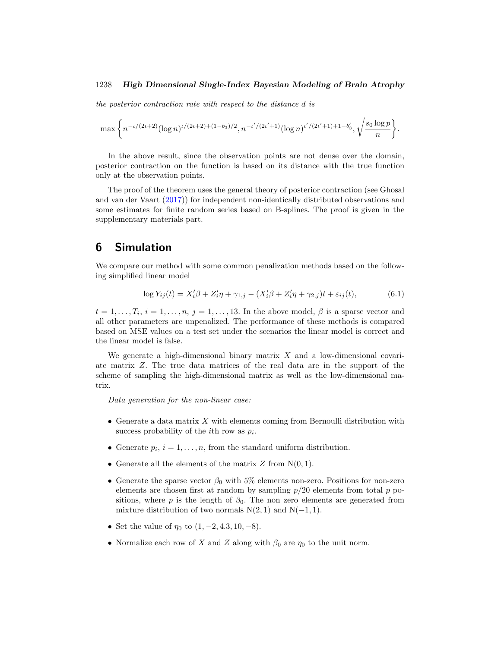<span id="page-9-2"></span>the posterior contraction rate with respect to the distance d is

$$
\max\bigg\{n^{-\iota/(2\iota+2)}(\log n)^{\iota/(2\iota+2)+(1-b_3)/2}, n^{-\iota'/(2\iota'+1)}(\log n)^{\iota'/(2\iota'+1)+1-b'_3}, \sqrt{\frac{s_0\log p}{n}}\bigg\}.
$$

In the above result, since the observation points are not dense over the domain, posterior contraction on the function is based on its distance with the true function only at the observation points.

The proof of the theorem uses the general theory of posterior contraction (see Ghosal and van der Vaart [\(2017](#page-17-2))) for independent non-identically distributed observations and some estimates for finite random series based on B-splines. The proof is given in the supplementary materials part.

## <span id="page-9-0"></span>**6 Simulation**

We compare our method with some common penalization methods based on the following simplified linear model

<span id="page-9-1"></span>
$$
\log Y_{ij}(t) = X_i' \beta + Z_i' \eta + \gamma_{1,j} - (X_i' \beta + Z_i' \eta + \gamma_{2,j})t + \varepsilon_{ij}(t),
$$
\n(6.1)

 $t = 1, \ldots, T_i, i = 1, \ldots, n, j = 1, \ldots, 13$ . In the above model,  $\beta$  is a sparse vector and all other parameters are unpenalized. The performance of these methods is compared based on MSE values on a test set under the scenarios the linear model is correct and the linear model is false.

We generate a high-dimensional binary matrix  $X$  and a low-dimensional covariate matrix Z. The true data matrices of the real data are in the support of the scheme of sampling the high-dimensional matrix as well as the low-dimensional matrix.

Data generation for the non-linear case:

- Generate a data matrix  $X$  with elements coming from Bernoulli distribution with success probability of the *i*th row as  $p_i$ .
- Generate  $p_i$ ,  $i = 1, \ldots, n$ , from the standard uniform distribution.
- Generate all the elements of the matrix  $Z$  from  $N(0, 1)$ .
- Generate the sparse vector  $\beta_0$  with 5% elements non-zero. Positions for non-zero elements are chosen first at random by sampling  $p/20$  elements from total  $p$  positions, where p is the length of  $\beta_0$ . The non zero elements are generated from mixture distribution of two normals  $N(2, 1)$  and  $N(-1, 1)$ .
- Set the value of  $\eta_0$  to  $(1, -2, 4.3, 10, -8)$ .
- Normalize each row of X and Z along with  $\beta_0$  are  $\eta_0$  to the unit norm.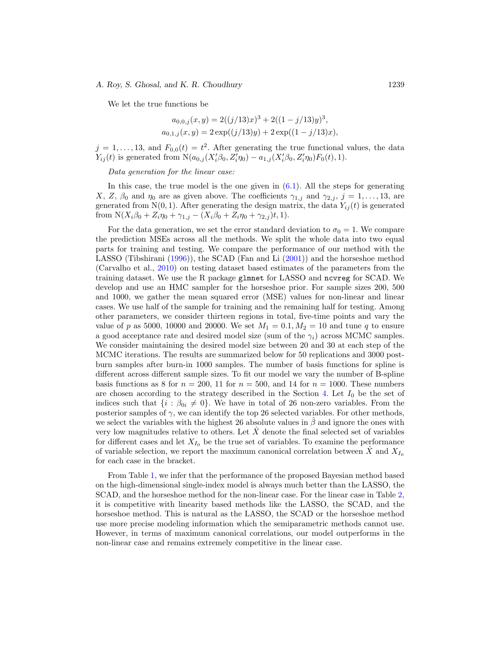<span id="page-10-0"></span>We let the true functions be

$$
a_{0,0,j}(x,y) = 2((j/13)x)^3 + 2((1 - j/13)y)^3,
$$
  
\n
$$
a_{0,1,j}(x,y) = 2 \exp((j/13)y) + 2 \exp((1 - j/13)x),
$$

 $j = 1, \ldots, 13$ , and  $F_{0,0}(t) = t^2$ . After generating the true functional values, the data  $Y_{ij}(t)$  is generated from  $N(a_{0,j}(X_i'\beta_0, Z_i'\eta_0) - a_{1,j}(X_i'\beta_0, Z_i'\eta_0)F_0(t), 1)$ .

Data generation for the linear case:

In this case, the true model is the one given in  $(6.1)$ . All the steps for generating X, Z,  $\beta_0$  and  $\eta_0$  are as given above. The coefficients  $\gamma_{1,j}$  and  $\gamma_{2,j}$ ,  $j = 1, \ldots, 13$ , are generated from N(0, 1). After generating the design matrix, the data  $Y_{ij}(t)$  is generated from  $N(X_i\beta_0 + Z_i\eta_0 + \gamma_{1,j} - (X_i\beta_0 + Z_i\eta_0 + \gamma_{2,j})t, 1).$ 

For the data generation, we set the error standard deviation to  $\sigma_0 = 1$ . We compare the prediction MSEs across all the methods. We split the whole data into two equal parts for training and testing. We compare the performance of our method with the LASSO (Tibshirani [\(1996](#page-19-8))), the SCAD (Fan and Li [\(2001\)](#page-17-3)) and the horseshoe method (Carvalho et al., [2010\)](#page-17-4) on testing dataset based estimates of the parameters from the training dataset. We use the R package glmnet for LASSO and ncvreg for SCAD. We develop and use an HMC sampler for the horseshoe prior. For sample sizes 200, 500 and 1000, we gather the mean squared error (MSE) values for non-linear and linear cases. We use half of the sample for training and the remaining half for testing. Among other parameters, we consider thirteen regions in total, five-time points and vary the value of p as 5000, 10000 and 20000. We set  $M_1 = 0.1, M_2 = 10$  and tune q to ensure a good acceptance rate and desired model size (sum of the  $\gamma_i$ ) across MCMC samples. We consider maintaining the desired model size between 20 and 30 at each step of the MCMC iterations. The results are summarized below for 50 replications and 3000 postburn samples after burn-in 1000 samples. The number of basis functions for spline is different across different sample sizes. To fit our model we vary the number of B-spline basis functions as 8 for  $n = 200$ , 11 for  $n = 500$ , and 14 for  $n = 1000$ . These numbers are chosen according to the strategy described in the Section [4.](#page-7-0) Let  $I_0$  be the set of indices such that  $\{i : \beta_{0i} \neq 0\}$ . We have in total of 26 non-zero variables. From the posterior samples of  $\gamma$ , we can identify the top 26 selected variables. For other methods, we select the variables with the highest 26 absolute values in  $\beta$  and ignore the ones with very low magnitudes relative to others. Let  $\ddot{X}$  denote the final selected set of variables for different cases and let  $X_{I_0}$  be the true set of variables. To examine the performance of variable selection, we report the maximum canonical correlation between  $\dot{X}$  and  $X_{I_0}$ for each case in the bracket.

From Table [1,](#page-11-1) we infer that the performance of the proposed Bayesian method based on the high-dimensional single-index model is always much better than the LASSO, the SCAD, and the horseshoe method for the non-linear case. For the linear case in Table [2,](#page-11-2) it is competitive with linearity based methods like the LASSO, the SCAD, and the horseshoe method. This is natural as the LASSO, the SCAD or the horseshoe method use more precise modeling information which the semiparametric methods cannot use. However, in terms of maximum canonical correlations, our model outperforms in the non-linear case and remains extremely competitive in the linear case.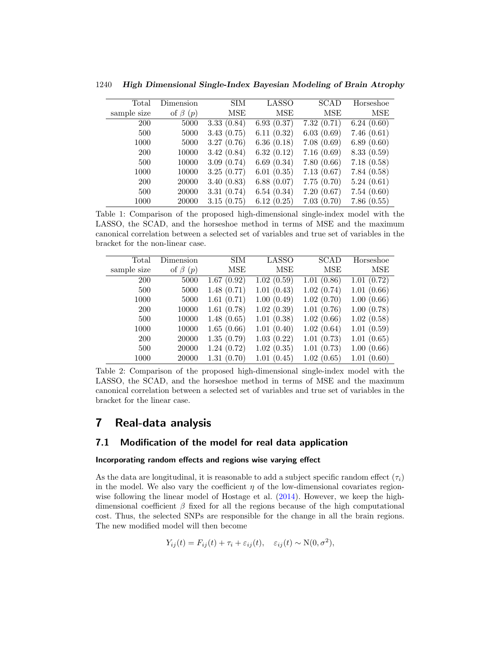| Total       | Dimension     | <b>SIM</b> | LASSO      | SCAD       | Horseshoe  |
|-------------|---------------|------------|------------|------------|------------|
| sample size | of $\beta(p)$ | MSE        | MSE        | MSE        | MSE        |
| 200         | 5000          | 3.33(0.84) | 6.93(0.37) | 7.32(0.71) | 6.24(0.60) |
| 500         | 5000          | 3.43(0.75) | 6.11(0.32) | 6.03(0.69) | 7.46(0.61) |
| 1000        | 5000          | 3.27(0.76) | 6.36(0.18) | 7.08(0.69) | 6.89(0.60) |
| <b>200</b>  | 10000         | 3.42(0.84) | 6.32(0.12) | 7.16(0.69) | 8.33(0.59) |
| 500         | 10000         | 3.09(0.74) | 6.69(0.34) | 7.80(0.66) | 7.18(0.58) |
| 1000        | 10000         | 3.25(0.77) | 6.01(0.35) | 7.13(0.67) | 7.84(0.58) |
| 200         | 20000         | 3.40(0.83) | 6.88(0.07) | 7.75(0.70) | 5.24(0.61) |
| 500         | 20000         | 3.31(0.74) | 6.54(0.34) | 7.20(0.67) | 7.54(0.60) |
| 1000        | 20000         | 3.15(0.75) | 6.12(0.25) | 7.03(0.70) | 7.86(0.55) |

<span id="page-11-3"></span>1240 *High Dimensional Single-Index Bayesian Modeling of Brain Atrophy*

<span id="page-11-1"></span>Table 1: Comparison of the proposed high-dimensional single-index model with the LASSO, the SCAD, and the horseshoe method in terms of MSE and the maximum canonical correlation between a selected set of variables and true set of variables in the bracket for the non-linear case.

| Total       | Dimension     | <b>SIM</b> | LASSO      | SCAD       | Horseshoe  |
|-------------|---------------|------------|------------|------------|------------|
| sample size | of $\beta(p)$ | MSE        | MSE        | MSE        | MSE        |
| 200         | 5000          | 1.67(0.92) | 1.02(0.59) | 1.01(0.86) | 1.01(0.72) |
| 500         | 5000          | 1.48(0.71) | 1.01(0.43) | 1.02(0.74) | 1.01(0.66) |
| 1000        | 5000          | 1.61(0.71) | 1.00(0.49) | 1.02(0.70) | 1.00(0.66) |
| <b>200</b>  | 10000         | 1.61(0.78) | 1.02(0.39) | 1.01(0.76) | 1.00(0.78) |
| 500         | 10000         | 1.48(0.65) | 1.01(0.38) | 1.02(0.66) | 1.02(0.58) |
| 1000        | 10000         | 1.65(0.66) | 1.01(0.40) | 1.02(0.64) | 1.01(0.59) |
| 200         | 20000         | 1.35(0.79) | 1.03(0.22) | 1.01(0.73) | 1.01(0.65) |
| 500         | 20000         | 1.24(0.72) | 1.02(0.35) | 1.01(0.73) | 1.00(0.66) |
| 1000        | 20000         | 1.31(0.70) | 1.01(0.45) | 1.02(0.65) | 1.01(0.60) |

<span id="page-11-2"></span>Table 2: Comparison of the proposed high-dimensional single-index model with the LASSO, the SCAD, and the horseshoe method in terms of MSE and the maximum canonical correlation between a selected set of variables and true set of variables in the bracket for the linear case.

# <span id="page-11-0"></span>**7 Real-data analysis**

### **7.1 Modification of the model for real data application**

#### **Incorporating random effects and regions wise varying effect**

As the data are longitudinal, it is reasonable to add a subject specific random effect  $(\tau_i)$ in the model. We also vary the coefficient  $\eta$  of the low-dimensional covariates regionwise following the linear model of Hostage et al. [\(2014\)](#page-17-0). However, we keep the highdimensional coefficient  $\beta$  fixed for all the regions because of the high computational cost. Thus, the selected SNPs are responsible for the change in all the brain regions. The new modified model will then become

$$
Y_{ij}(t) = F_{ij}(t) + \tau_i + \varepsilon_{ij}(t), \quad \varepsilon_{ij}(t) \sim \mathcal{N}(0, \sigma^2),
$$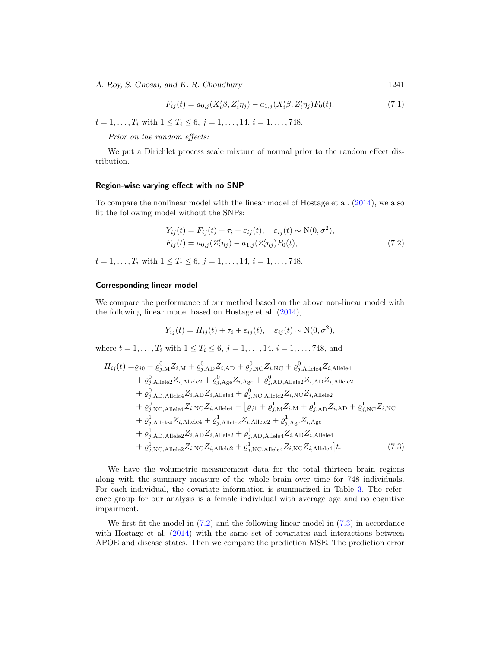$$
F_{ij}(t) = a_{0,j}(X_i'\beta, Z_i'\eta_j) - a_{1,j}(X_i'\beta, Z_i'\eta_j)F_0(t),
$$
\n(7.1)

<span id="page-12-3"></span> $t = 1, \ldots, T_i$  with  $1 \le T_i \le 6$ ,  $j = 1, \ldots, 14$ ,  $i = 1, \ldots, 748$ .

Prior on the random effects:

We put a Dirichlet process scale mixture of normal prior to the random effect distribution.

#### **Region-wise varying effect with no SNP**

To compare the nonlinear model with the linear model of Hostage et al. [\(2014\)](#page-17-0), we also fit the following model without the SNPs:

$$
Y_{ij}(t) = F_{ij}(t) + \tau_i + \varepsilon_{ij}(t), \quad \varepsilon_{ij}(t) \sim \mathcal{N}(0, \sigma^2),
$$
  
\n
$$
F_{ij}(t) = a_{0,j}(Z'_i \eta_j) - a_{1,j}(Z'_i \eta_j) F_0(t),
$$
\n(7.2)

 $t = 1, \ldots, T_i$  with  $1 \leq T_i \leq 6, j = 1, \ldots, 14, i = 1, \ldots, 748$ .

#### **Corresponding linear model**

We compare the performance of our method based on the above non-linear model with the following linear model based on Hostage et al. [\(2014](#page-17-0)),

<span id="page-12-1"></span>
$$
Y_{ij}(t) = H_{ij}(t) + \tau_i + \varepsilon_{ij}(t), \quad \varepsilon_{ij}(t) \sim \mathcal{N}(0, \sigma^2),
$$

where  $t = 1, ..., T_i$  with  $1 \leq T_i \leq 6, j = 1, ..., 14, i = 1, ..., 748$ , and

$$
H_{ij}(t) = \rho_{j0} + \rho_{j, \text{M}}^{0} Z_{i, \text{M}} + \rho_{j, \text{AD}}^{0} Z_{i, \text{AD}} + \rho_{j, \text{NC}}^{0} Z_{i, \text{NC}} + \rho_{j, \text{Allele4}}^{0} Z_{i, \text{Allele4}} + \rho_{j, \text{Allele2}}^{0} Z_{i, \text{Allele2}} + \rho_{j, \text{Age}}^{0} Z_{i, \text{Age}} + \rho_{j, \text{AD}, \text{Allele2}}^{0} Z_{i, \text{AD}} Z_{i, \text{Allele2}} + \rho_{j, \text{AD}, \text{Allele4}}^{0} Z_{i, \text{AD}} Z_{i, \text{Allele4}} + \rho_{j, \text{NC}, \text{Allele2}}^{0} Z_{i, \text{NC}} Z_{i, \text{Allele2}} + \rho_{j, \text{NC}, \text{Allele4}}^{0} Z_{i, \text{AD}} Z_{i, \text{Allele4}} - [\rho_{j1} + \rho_{j, \text{M}}^{1} Z_{i, \text{M}} + \rho_{j, \text{AD}}^{1} Z_{i, \text{AD}} + \rho_{j, \text{NC}}^{1} Z_{i, \text{NC}} + \rho_{j, \text{Allele4}}^{1} Z_{i, \text{Allele4}} + \rho_{j, \text{Allele2}}^{1} Z_{i, \text{Allele2}} + \rho_{j, \text{Age}}^{1} Z_{i, \text{Age}}
$$
  
+ \rho\_{j, \text{AD}, \text{Allele2}}^{1} Z\_{i, \text{AD}} Z\_{i, \text{Allele2}} + \rho\_{j, \text{AD}, \text{Allele4}}^{1} Z\_{i, \text{AD}} Z\_{i, \text{Allele4}}   
+ \rho\_{j, \text{NC}, \text{Allele2}}^{1} Z\_{i, \text{AD}} Z\_{i, \text{Allele2}} + \rho\_{j, \text{NC}, \text{Allele4}}^{1} Z\_{i, \text{AD}} Z\_{i, \text{Allele4}} \Big] t. (7.3)

We have the volumetric measurement data for the total thirteen brain regions along with the summary measure of the whole brain over time for 748 individuals. For each individual, the covariate information is summarized in Table [3.](#page-13-0) The reference group for our analysis is a female individual with average age and no cognitive impairment.

We first fit the model in [\(7.2\)](#page-12-0) and the following linear model in [\(7.3\)](#page-12-1) in accordance with Hostage et al. [\(2014](#page-17-0)) with the same set of covariates and interactions between APOE and disease states. Then we compare the prediction MSE. The prediction error

<span id="page-12-2"></span><span id="page-12-0"></span>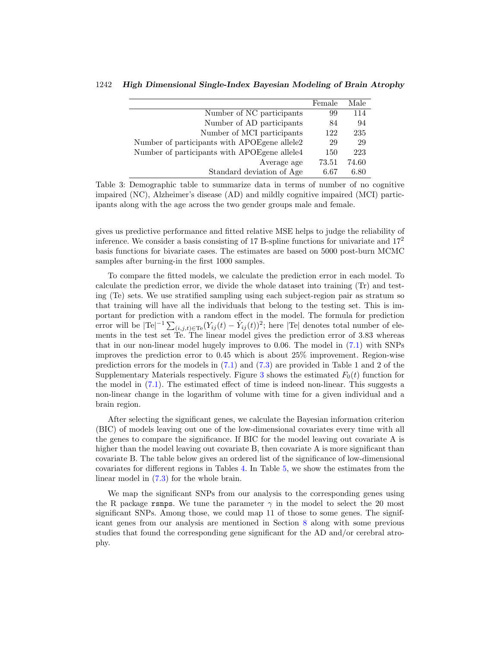|                                              | Female | Male  |
|----------------------------------------------|--------|-------|
| Number of NC participants                    | 99     | 114   |
| Number of AD participants                    | 84     | 94    |
| Number of MCI participants                   | 122    | 235   |
| Number of participants with APOEgene allele2 | 29     | 29    |
| Number of participants with APOEgene allele4 | 150    | 223   |
| Average age                                  | 73.51  | 74.60 |
| Standard deviation of Age                    | 6.67   | 6.80  |

1242 *High Dimensional Single-Index Bayesian Modeling of Brain Atrophy*

<span id="page-13-0"></span>Table 3: Demographic table to summarize data in terms of number of no cognitive impaired (NC), Alzheimer's disease (AD) and mildly cognitive impaired (MCI) participants along with the age across the two gender groups male and female.

gives us predictive performance and fitted relative MSE helps to judge the reliability of inference. We consider a basis consisting of 17 B-spline functions for univariate and 17<sup>2</sup> basis functions for bivariate cases. The estimates are based on 5000 post-burn MCMC samples after burning-in the first 1000 samples.

To compare the fitted models, we calculate the prediction error in each model. To calculate the prediction error, we divide the whole dataset into training (Tr) and testing (Te) sets. We use stratified sampling using each subject-region pair as stratum so that training will have all the individuals that belong to the testing set. This is important for prediction with a random effect in the model. The formula for prediction error will be  $|Te|^{-1} \sum_{(i,j,t) \in Te} (Y_{ij}(t) - \hat{Y}_{ij}(t))^2$ ; here  $|Te|$  denotes total number of elements in the test set Te. The linear model gives the prediction error of 3.83 whereas that in our non-linear model hugely improves to 0.06. The model in [\(7.1\)](#page-12-2) with SNPs improves the prediction error to 0.45 which is about 25% improvement. Region-wise prediction errors for the models in [\(7.1\)](#page-12-2) and [\(7.3\)](#page-12-1) are provided in Table 1 and 2 of the Supplementary Materials respectively. Figure [3](#page-14-1) shows the estimated  $F_0(t)$  function for the model in [\(7.1\)](#page-12-2). The estimated effect of time is indeed non-linear. This suggests a non-linear change in the logarithm of volume with time for a given individual and a brain region.

After selecting the significant genes, we calculate the Bayesian information criterion (BIC) of models leaving out one of the low-dimensional covariates every time with all the genes to compare the significance. If BIC for the model leaving out covariate A is higher than the model leaving out covariate B, then covariate A is more significant than covariate B. The table below gives an ordered list of the significance of low-dimensional covariates for different regions in Tables [4.](#page-14-2) In Table [5,](#page-15-0) we show the estimates from the linear model in [\(7.3\)](#page-12-1) for the whole brain.

We map the significant SNPs from our analysis to the corresponding genes using the R package rsnps. We tune the parameter  $\gamma$  in the model to select the 20 most significant SNPs. Among those, we could map 11 of those to some genes. The significant genes from our analysis are mentioned in Section [8](#page-14-0) along with some previous studies that found the corresponding gene significant for the AD and/or cerebral atrophy.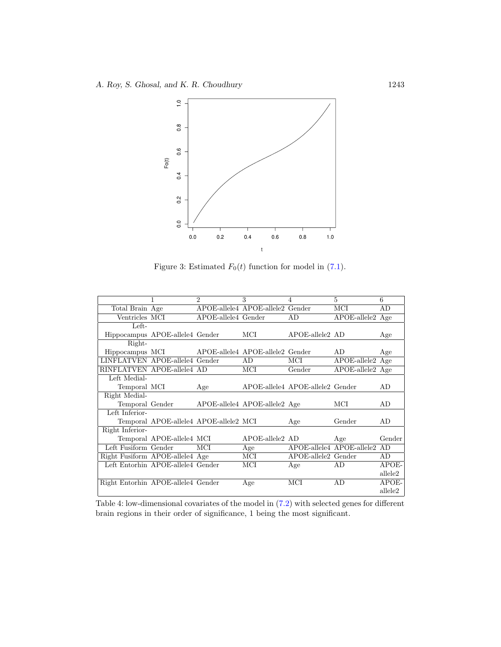

<span id="page-14-1"></span>Figure 3: Estimated  $F_0(t)$  function for model in [\(7.1\)](#page-12-2).

|                                    |                                        | $\mathfrak{D}$      | 3                                | 4                                | 5                         | 6       |
|------------------------------------|----------------------------------------|---------------------|----------------------------------|----------------------------------|---------------------------|---------|
| Total Brain Age                    |                                        |                     | APOE-allele4 APOE-allele2 Gender |                                  | MCI                       | AD      |
| Ventricles MCI                     |                                        | APOE-allele4 Gender |                                  | AD                               | $APOE$ -allele $2$ Age    |         |
| Left-                              |                                        |                     |                                  |                                  |                           |         |
|                                    | Hippocampus APOE-allele4 Gender        |                     | MCI                              | APOE-allele2 AD                  |                           | Age     |
| Right-                             |                                        |                     |                                  |                                  |                           |         |
| Hippocampus MCI                    |                                        |                     | APOE-allele4 APOE-allele2 Gender |                                  | AD.                       | Age     |
| LINFLATVEN APOE-allele4 Gender     |                                        |                     | AD                               | MСI                              | $APOE$ -allele $2$ Age    |         |
| RINFLATVEN APOE-allele4 AD         |                                        |                     | MCI                              | Gender                           | $APOE$ -allele $2$ Age    |         |
| Left Medial-                       |                                        |                     |                                  |                                  |                           |         |
| Temporal MCI                       |                                        | Age                 |                                  | APOE-allele4 APOE-allele2 Gender |                           | AD      |
| Right Medial-                      |                                        |                     |                                  |                                  |                           |         |
| Temporal Gender                    |                                        |                     | APOE-allele4 APOE-allele2 Age    |                                  | MCI                       | AD      |
| Left Inferior-                     |                                        |                     |                                  |                                  |                           |         |
|                                    | Temporal APOE-allele4 APOE-allele2 MCI |                     |                                  | Age                              | Gender                    | AD.     |
| Right Inferior-                    |                                        |                     |                                  |                                  |                           |         |
|                                    | Temporal APOE-allele4 MCI              |                     | $APOE$ -allele $2$ $AD$          |                                  | Age                       | Gender  |
| Left Fusiform Gender               |                                        | MCI                 | Age                              |                                  | APOE-allele4 APOE-allele2 | AD.     |
| Right Fusiform APOE-allele4 Age    |                                        |                     | MCI                              | APOE-allele2 Gender              |                           | AD.     |
|                                    | Left Entorhin APOE-allele4 Gender      |                     | MCI                              | Age                              | AD                        | APOE-   |
|                                    |                                        |                     |                                  |                                  |                           | allele2 |
| Right Entorhin APOE-allele4 Gender |                                        |                     | Age                              | MCI                              | AD.                       | APOE-   |
|                                    |                                        |                     |                                  |                                  |                           | allele2 |

<span id="page-14-2"></span><span id="page-14-0"></span>Table 4: low-dimensional covariates of the model in [\(7.2\)](#page-12-0) with selected genes for different brain regions in their order of significance, 1 being the most significant.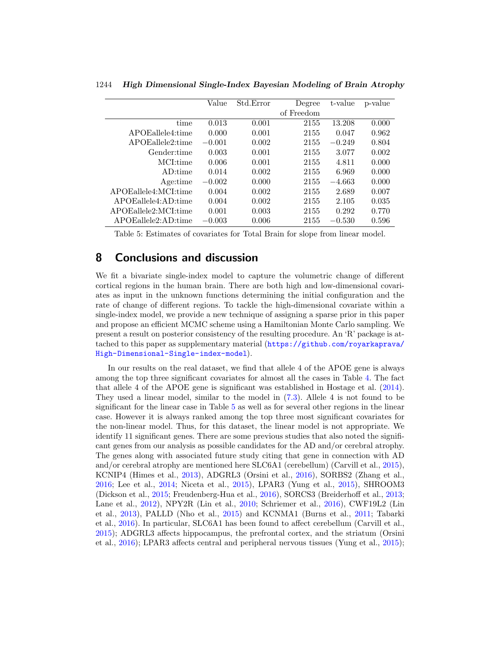|                      | Value    | Std.Error | Degree     | t-value  | p-value |
|----------------------|----------|-----------|------------|----------|---------|
|                      |          |           | of Freedom |          |         |
| time                 | 0.013    | 0.001     | 2155       | 13.208   | 0.000   |
| APOEallele4:time     | 0.000    | 0.001     | 2155       | 0.047    | 0.962   |
| APOEallele2:time     | $-0.001$ | 0.002     | 2155       | $-0.249$ | 0.804   |
| Gender:time          | 0.003    | 0.001     | 2155       | 3.077    | 0.002   |
| MCI:time             | 0.006    | 0.001     | 2155       | 4.811    | 0.000   |
| AD:time              | 0.014    | 0.002     | 2155       | 6.969    | 0.000   |
| Age:time             | $-0.002$ | 0.000     | 2155       | $-4.663$ | 0.000   |
| APOEallele4:MCI:time | 0.004    | 0.002     | 2155       | 2.689    | 0.007   |
| APOEallele4:AD:time  | 0.004    | 0.002     | 2155       | 2.105    | 0.035   |
| APOEallele2:MCI:time | 0.001    | 0.003     | 2155       | 0.292    | 0.770   |
| APOEallele2:AD:time  | $-0.003$ | 0.006     | 2155       | $-0.530$ | 0.596   |

<span id="page-15-1"></span>1244 *High Dimensional Single-Index Bayesian Modeling of Brain Atrophy*

<span id="page-15-0"></span>Table 5: Estimates of covariates for Total Brain for slope from linear model.

### **8 Conclusions and discussion**

We fit a bivariate single-index model to capture the volumetric change of different cortical regions in the human brain. There are both high and low-dimensional covariates as input in the unknown functions determining the initial configuration and the rate of change of different regions. To tackle the high-dimensional covariate within a single-index model, we provide a new technique of assigning a sparse prior in this paper and propose an efficient MCMC scheme using a Hamiltonian Monte Carlo sampling. We present a result on posterior consistency of the resulting procedure. An 'R' package is attached to this paper as supplementary material ([https://github.com/royarkaprava/](https://github.com/royarkaprava/High-Dimensional-Single-index-model) [High-Dimensional-Single-index-model](https://github.com/royarkaprava/High-Dimensional-Single-index-model)).

In our results on the real dataset, we find that allele 4 of the APOE gene is always among the top three significant covariates for almost all the cases in Table [4.](#page-14-2) The fact that allele 4 of the APOE gene is significant was established in Hostage et al. [\(2014\)](#page-17-0). They used a linear model, similar to the model in [\(7.3\)](#page-12-1). Allele 4 is not found to be significant for the linear case in Table [5](#page-15-0) as well as for several other regions in the linear case. However it is always ranked among the top three most significant covariates for the non-linear model. Thus, for this dataset, the linear model is not appropriate. We identify 11 significant genes. There are some previous studies that also noted the significant genes from our analysis as possible candidates for the AD and/or cerebral atrophy. The genes along with associated future study citing that gene in connection with AD and/or cerebral atrophy are mentioned here SLC6A1 (cerebellum) (Carvill et al., [2015\)](#page-17-5), KCNIP4 (Himes et al., [2013](#page-17-6)), ADGRL3 (Orsini et al., [2016\)](#page-18-4), SORBS2 (Zhang et al., [2016;](#page-19-9) Lee et al., [2014](#page-18-5); Niceta et al., [2015](#page-18-6)), LPAR3 (Yung et al., [2015\)](#page-19-10), SHROOM3 (Dickson et al., [2015;](#page-17-7) Freudenberg-Hua et al., [2016\)](#page-17-8), SORCS3 (Breiderhoff et al., [2013;](#page-16-3) Lane et al., [2012\)](#page-17-9), NPY2R (Lin et al., [2010;](#page-18-7) Schriemer et al., [2016](#page-19-11)), CWF19L2 (Lin et al., [2013](#page-18-8)), PALLD (Nho et al., [2015](#page-18-9)) and KCNMA1 (Burns et al., [2011;](#page-17-10) Tabarki et al., [2016\)](#page-19-12). In particular, SLC6A1 has been found to affect cerebellum (Carvill et al., [2015\)](#page-17-5); ADGRL3 affects hippocampus, the prefrontal cortex, and the striatum (Orsini et al., [2016](#page-18-4)); LPAR3 affects central and peripheral nervous tissues (Yung et al., [2015\)](#page-19-10);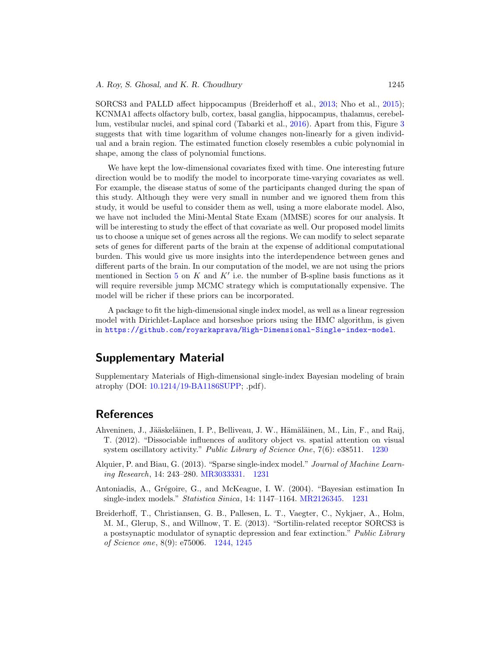<span id="page-16-4"></span>SORCS3 and PALLD affect hippocampus (Breiderhoff et al., [2013](#page-16-3); Nho et al., [2015\)](#page-18-9); KCNMA1 affects olfactory bulb, cortex, basal ganglia, hippocampus, thalamus, cerebellum, vestibular nuclei, and spinal cord (Tabarki et al., [2016](#page-19-12)). Apart from this, Figure [3](#page-14-1) suggests that with time logarithm of volume changes non-linearly for a given individual and a brain region. The estimated function closely resembles a cubic polynomial in shape, among the class of polynomial functions.

We have kept the low-dimensional covariates fixed with time. One interesting future direction would be to modify the model to incorporate time-varying covariates as well. For example, the disease status of some of the participants changed during the span of this study. Although they were very small in number and we ignored them from this study, it would be useful to consider them as well, using a more elaborate model. Also, we have not included the Mini-Mental State Exam (MMSE) scores for our analysis. It will be interesting to study the effect of that covariate as well. Our proposed model limits us to choose a unique set of genes across all the regions. We can modify to select separate sets of genes for different parts of the brain at the expense of additional computational burden. This would give us more insights into the interdependence between genes and different parts of the brain. In our computation of the model, we are not using the priors mentioned in Section [5](#page-8-0) on K and  $K'$  i.e. the number of B-spline basis functions as it will require reversible jump MCMC strategy which is computationally expensive. The model will be richer if these priors can be incorporated.

A package to fit the high-dimensional single index model, as well as a linear regression model with Dirichlet-Laplace and horseshoe priors using the HMC algorithm, is given in <https://github.com/royarkaprava/High-Dimensional-Single-index-model>.

# **Supplementary Material**

Supplementary Materials of High-dimensional single-index Bayesian modeling of brain atrophy (DOI: [10.1214/19-BA1186SUPP;](https://doi.org/10.1214/19-BA1186SUPP) .pdf).

# **References**

- <span id="page-16-0"></span>Ahveninen, J., Jääskeläinen, I. P., Belliveau, J. W., Hämäläinen, M., Lin, F., and Raij, T. (2012). "Dissociable influences of auditory object vs. spatial attention on visual system oscillatory activity." Public Library of Science One, 7(6): e38511. [1230](#page-1-1)
- <span id="page-16-2"></span>Alquier, P. and Biau, G. (2013). "Sparse single-index model." Journal of Machine Learning Research, 14: 243–280. [MR3033331.](https://www.ams.org/mathscinet-getitem?mr=3033331) [1231](#page-2-0)
- <span id="page-16-1"></span>Antoniadis, A., Grégoire, G., and McKeague, I. W. (2004). "Bayesian estimation In single-index models." Statistica Sinica, 14: 1147–1164. [MR2126345.](https://www.ams.org/mathscinet-getitem?mr=2126345) [1231](#page-2-0)
- <span id="page-16-3"></span>Breiderhoff, T., Christiansen, G. B., Pallesen, L. T., Vaegter, C., Nykjaer, A., Holm, M. M., Glerup, S., and Willnow, T. E. (2013). "Sortilin-related receptor SORCS3 is a postsynaptic modulator of synaptic depression and fear extinction." Public Library of Science one, 8(9): e75006. [1244,](#page-15-1) [1245](#page-16-4)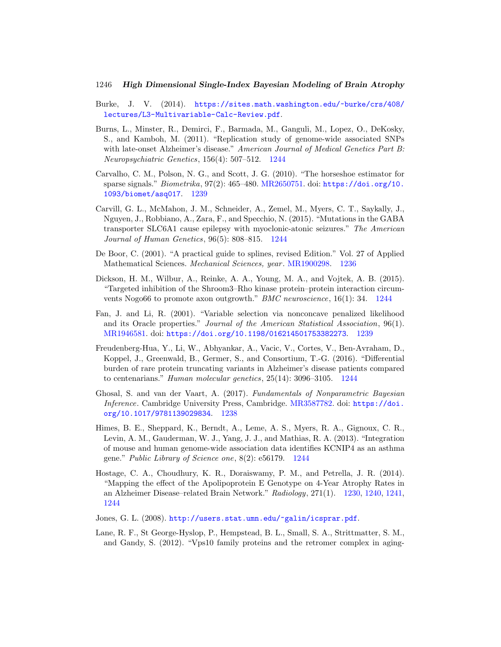- Burke, J. V. (2014). [https://sites.math.washington.edu/~burke/crs/408/](https://sites.math.washington.edu/~burke/crs/408/lectures/L3-Multivariable-Calc-Review.pdf) [lectures/L3-Multivariable-Calc-Review.pdf](https://sites.math.washington.edu/~burke/crs/408/lectures/L3-Multivariable-Calc-Review.pdf).
- <span id="page-17-10"></span>Burns, L., Minster, R., Demirci, F., Barmada, M., Ganguli, M., Lopez, O., DeKosky, S., and Kamboh, M. (2011). "Replication study of genome-wide associated SNPs with late-onset Alzheimer's disease." American Journal of Medical Genetics Part B: Neuropsychiatric Genetics, 156(4): 507–512. [1244](#page-15-1)
- <span id="page-17-4"></span>Carvalho, C. M., Polson, N. G., and Scott, J. G. (2010). "The horseshoe estimator for sparse signals." Biometrika, 97(2): 465–480. [MR2650751.](https://www.ams.org/mathscinet-getitem?mr=2650751) doi: [https://doi.org/10.](https://doi.org/10.1093/biomet/asq017) [1093/biomet/asq017](https://doi.org/10.1093/biomet/asq017). [1239](#page-10-0)
- <span id="page-17-5"></span>Carvill, G. L., McMahon, J. M., Schneider, A., Zemel, M., Myers, C. T., Saykally, J., Nguyen, J., Robbiano, A., Zara, F., and Specchio, N. (2015). "Mutations in the GABA transporter SLC6A1 cause epilepsy with myoclonic-atonic seizures." The American Journal of Human Genetics, 96(5): 808–815. [1244](#page-15-1)
- <span id="page-17-1"></span>De Boor, C. (2001). "A practical guide to splines, revised Edition." Vol. 27 of Applied Mathematical Sciences. Mechanical Sciences, year . [MR1900298.](https://www.ams.org/mathscinet-getitem?mr=1900298) [1236](#page-7-1)
- <span id="page-17-7"></span>Dickson, H. M., Wilbur, A., Reinke, A. A., Young, M. A., and Vojtek, A. B. (2015). "Targeted inhibition of the Shroom3–Rho kinase protein–protein interaction circumvents Nogo66 to promote axon outgrowth." BMC neuroscience, 16(1): 34. [1244](#page-15-1)
- <span id="page-17-3"></span>Fan, J. and Li, R. (2001). "Variable selection via nonconcave penalized likelihood and its Oracle properties." Journal of the American Statistical Association, 96(1). [MR1946581.](https://www.ams.org/mathscinet-getitem?mr=1946581) doi: <https://doi.org/10.1198/016214501753382273>. [1239](#page-10-0)
- <span id="page-17-8"></span>Freudenberg-Hua, Y., Li, W., Abhyankar, A., Vacic, V., Cortes, V., Ben-Avraham, D., Koppel, J., Greenwald, B., Germer, S., and Consortium, T.-G. (2016). "Differential burden of rare protein truncating variants in Alzheimer's disease patients compared to centenarians." Human molecular genetics, 25(14): 3096–3105. [1244](#page-15-1)
- <span id="page-17-2"></span>Ghosal, S. and van der Vaart, A. (2017). Fundamentals of Nonparametric Bayesian Inference. Cambridge University Press, Cambridge. [MR3587782.](https://www.ams.org/mathscinet-getitem?mr=3587782) doi: [https://doi.](https://doi.org/10.1017/9781139029834) [org/10.1017/9781139029834](https://doi.org/10.1017/9781139029834). [1238](#page-9-2)
- <span id="page-17-6"></span>Himes, B. E., Sheppard, K., Berndt, A., Leme, A. S., Myers, R. A., Gignoux, C. R., Levin, A. M., Gauderman, W. J., Yang, J. J., and Mathias, R. A. (2013). "Integration of mouse and human genome-wide association data identifies KCNIP4 as an asthma gene." Public Library of Science one, 8(2): e56179. [1244](#page-15-1)
- <span id="page-17-0"></span>Hostage, C. A., Choudhury, K. R., Doraiswamy, P. M., and Petrella, J. R. (2014). "Mapping the effect of the Apolipoprotein E Genotype on 4-Year Atrophy Rates in an Alzheimer Disease–related Brain Network." Radiology, 271(1). [1230,](#page-1-1) [1240,](#page-11-3) [1241,](#page-12-3) [1244](#page-15-1)
- Jones, G. L. (2008). <http://users.stat.umn.edu/~galin/icsprar.pdf>.
- <span id="page-17-9"></span>Lane, R. F., St George-Hyslop, P., Hempstead, B. L., Small, S. A., Strittmatter, S. M., and Gandy, S. (2012). "Vps10 family proteins and the retromer complex in aging-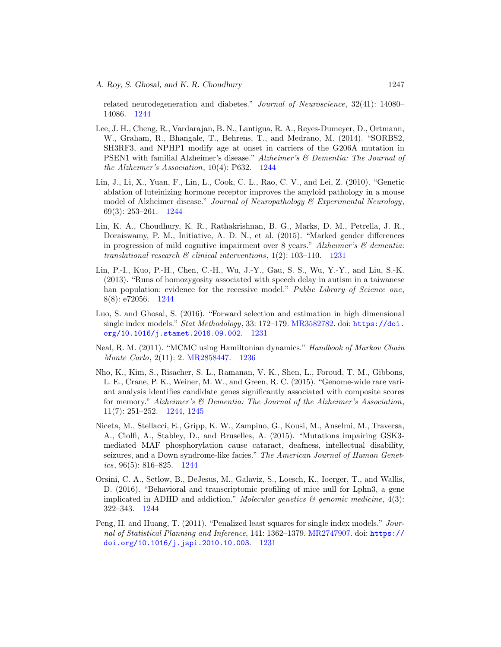related neurodegeneration and diabetes." Journal of Neuroscience, 32(41): 14080– 14086. [1244](#page-15-1)

- <span id="page-18-5"></span>Lee, J. H., Cheng, R., Vardarajan, B. N., Lantigua, R. A., Reyes-Dumeyer, D., Ortmann, W., Graham, R., Bhangale, T., Behrens, T., and Medrano, M. (2014). "SORBS2, SH3RF3, and NPHP1 modify age at onset in carriers of the G206A mutation in PSEN1 with familial Alzheimer's disease." Alzheimer's & Dementia: The Journal of the Alzheimer's Association, 10(4): P632. [1244](#page-15-1)
- <span id="page-18-7"></span>Lin, J., Li, X., Yuan, F., Lin, L., Cook, C. L., Rao, C. V., and Lei, Z. (2010). "Genetic ablation of luteinizing hormone receptor improves the amyloid pathology in a mouse model of Alzheimer disease." Journal of Neuropathology & Experimental Neurology, 69(3): 253–261. [1244](#page-15-1)
- <span id="page-18-0"></span>Lin, K. A., Choudhury, K. R., Rathakrishnan, B. G., Marks, D. M., Petrella, J. R., Doraiswamy, P. M., Initiative, A. D. N., et al. (2015). "Marked gender differences in progression of mild cognitive impairment over 8 years." Alzheimer's  $\mathcal{B}$  dementia: translational research  $\mathcal C$  clinical interventions, 1(2): 103-110. [1231](#page-2-0)
- <span id="page-18-8"></span>Lin, P.-I., Kuo, P.-H., Chen, C.-H., Wu, J.-Y., Gau, S. S., Wu, Y.-Y., and Liu, S.-K. (2013). "Runs of homozygosity associated with speech delay in autism in a taiwanese han population: evidence for the recessive model." Public Library of Science one, 8(8): e72056. [1244](#page-15-1)
- <span id="page-18-2"></span>Luo, S. and Ghosal, S. (2016). "Forward selection and estimation in high dimensional single index models." Stat Methodology, 33: 172-179. [MR3582782.](https://www.ams.org/mathscinet-getitem?mr=3582782) doi: [https://doi.](https://doi.org/10.1016/j.stamet.2016.09.002) [org/10.1016/j.stamet.2016.09.002](https://doi.org/10.1016/j.stamet.2016.09.002). [1231](#page-2-0)
- <span id="page-18-3"></span>Neal, R. M. (2011). "MCMC using Hamiltonian dynamics." Handbook of Markov Chain Monte Carlo, 2(11): 2. [MR2858447.](https://www.ams.org/mathscinet-getitem?mr=2858447) [1236](#page-7-1)
- <span id="page-18-9"></span>Nho, K., Kim, S., Risacher, S. L., Ramanan, V. K., Shen, L., Foroud, T. M., Gibbons, L. E., Crane, P. K., Weiner, M. W., and Green, R. C. (2015). "Genome-wide rare variant analysis identifies candidate genes significantly associated with composite scores for memory." Alzheimer's & Dementia: The Journal of the Alzheimer's Association, 11(7): 251–252. [1244,](#page-15-1) [1245](#page-16-4)
- <span id="page-18-6"></span>Niceta, M., Stellacci, E., Gripp, K. W., Zampino, G., Kousi, M., Anselmi, M., Traversa, A., Ciolfi, A., Stabley, D., and Bruselles, A. (2015). "Mutations impairing GSK3 mediated MAF phosphorylation cause cataract, deafness, intellectual disability, seizures, and a Down syndrome-like facies." The American Journal of Human Genetics, 96(5): 816–825. [1244](#page-15-1)
- <span id="page-18-4"></span>Orsini, C. A., Setlow, B., DeJesus, M., Galaviz, S., Loesch, K., Ioerger, T., and Wallis, D. (2016). "Behavioral and transcriptomic profiling of mice null for Lphn3, a gene implicated in ADHD and addiction." Molecular genetics  $\mathcal{C}$  genomic medicine, 4(3): 322–343. [1244](#page-15-1)
- <span id="page-18-1"></span>Peng, H. and Huang, T. (2011). "Penalized least squares for single index models." Journal of Statistical Planning and Inference, 141: 1362–1379. [MR2747907.](https://www.ams.org/mathscinet-getitem?mr=2747907) doi: [https://](https://doi.org/10.1016/j.jspi.2010.10.003) [doi.org/10.1016/j.jspi.2010.10.003](https://doi.org/10.1016/j.jspi.2010.10.003). [1231](#page-2-0)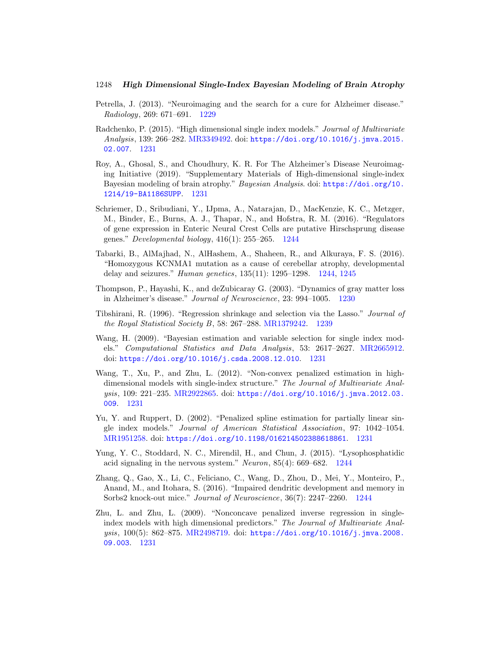- <span id="page-19-0"></span>Petrella, J. (2013). "Neuroimaging and the search for a cure for Alzheimer disease." Radiology, 269: 671–691. [1229](#page-0-5)
- <span id="page-19-6"></span>Radchenko, P. (2015). "High dimensional single index models." Journal of Multivariate Analysis, 139: 266–282. [MR3349492.](https://www.ams.org/mathscinet-getitem?mr=3349492) doi: [https://doi.org/10.1016/j.jmva.2015.](https://doi.org/10.1016/j.jmva.2015.02.007) [02.007](https://doi.org/10.1016/j.jmva.2015.02.007). [1231](#page-2-0)
- <span id="page-19-2"></span>Roy, A., Ghosal, S., and Choudhury, K. R. For The Alzheimer's Disease Neuroimaging Initiative (2019). "Supplementary Materials of High-dimensional single-index Bayesian modeling of brain atrophy." Bayesian Analysis. doi: [https://doi.org/10.](https://doi.org/10.1214/19-BA1186SUPP) [1214/19-BA1186SUPP](https://doi.org/10.1214/19-BA1186SUPP). [1231](#page-2-0)
- <span id="page-19-11"></span>Schriemer, D., Sribudiani, Y., IJpma, A., Natarajan, D., MacKenzie, K. C., Metzger, M., Binder, E., Burns, A. J., Thapar, N., and Hofstra, R. M. (2016). "Regulators of gene expression in Enteric Neural Crest Cells are putative Hirschsprung disease genes." Developmental biology,  $416(1)$ : 255–265. [1244](#page-15-1)
- <span id="page-19-12"></span>Tabarki, B., AlMajhad, N., AlHashem, A., Shaheen, R., and Alkuraya, F. S. (2016). "Homozygous KCNMA1 mutation as a cause of cerebellar atrophy, developmental delay and seizures." Human genetics, 135(11): 1295–1298. [1244,](#page-15-1) [1245](#page-16-4)
- <span id="page-19-1"></span>Thompson, P., Hayashi, K., and deZubicaray G. (2003). "Dynamics of gray matter loss in Alzheimer's disease." Journal of Neuroscience, 23: 994–1005. [1230](#page-1-1)
- <span id="page-19-8"></span>Tibshirani, R. (1996). "Regression shrinkage and selection via the Lasso." Journal of the Royal Statistical Society B, 58: 267–288. [MR1379242.](https://www.ams.org/mathscinet-getitem?mr=1379242) [1239](#page-10-0)
- <span id="page-19-7"></span>Wang, H. (2009). "Bayesian estimation and variable selection for single index models." Computational Statistics and Data Analysis, 53: 2617–2627. [MR2665912.](https://www.ams.org/mathscinet-getitem?mr=2665912) doi: <https://doi.org/10.1016/j.csda.2008.12.010>. [1231](#page-2-0)
- <span id="page-19-5"></span>Wang, T., Xu, P., and Zhu, L. (2012). "Non-convex penalized estimation in highdimensional models with single-index structure." The Journal of Multivariate Analysis, 109: 221–235. [MR2922865.](https://www.ams.org/mathscinet-getitem?mr=2922865) doi: [https://doi.org/10.1016/j.jmva.2012.03.](https://doi.org/10.1016/j.jmva.2012.03.009) [009](https://doi.org/10.1016/j.jmva.2012.03.009). [1231](#page-2-0)
- <span id="page-19-4"></span>Yu, Y. and Ruppert, D. (2002). "Penalized spline estimation for partially linear single index models." Journal of American Statistical Association, 97: 1042–1054. [MR1951258.](https://www.ams.org/mathscinet-getitem?mr=1951258) doi: <https://doi.org/10.1198/016214502388618861>. [1231](#page-2-0)
- <span id="page-19-10"></span>Yung, Y. C., Stoddard, N. C., Mirendil, H., and Chun, J. (2015). "Lysophosphatidic acid signaling in the nervous system." Neuron, 85(4): 669–682. [1244](#page-15-1)
- <span id="page-19-9"></span>Zhang, Q., Gao, X., Li, C., Feliciano, C., Wang, D., Zhou, D., Mei, Y., Monteiro, P., Anand, M., and Itohara, S. (2016). "Impaired dendritic development and memory in Sorbs2 knock-out mice." Journal of Neuroscience, 36(7): 2247–2260. [1244](#page-15-1)
- <span id="page-19-3"></span>Zhu, L. and Zhu, L. (2009). "Nonconcave penalized inverse regression in singleindex models with high dimensional predictors." The Journal of Multivariate Analysis, 100(5): 862–875. [MR2498719.](https://www.ams.org/mathscinet-getitem?mr=2498719) doi: [https://doi.org/10.1016/j.jmva.2008.](https://doi.org/10.1016/j.jmva.2008.09.003) [09.003](https://doi.org/10.1016/j.jmva.2008.09.003). [1231](#page-2-0)